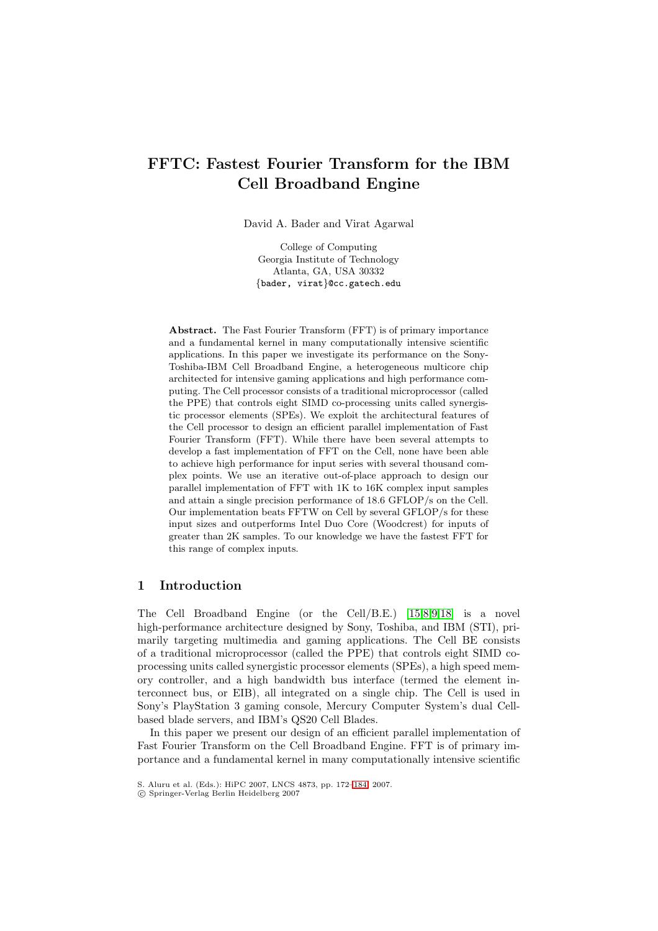# **FFTC: Fastest Fourier Transform for the IBM Cell Broadband Engine**

David A. Bader and Virat Agarwal

College of Computing Georgia Institute of Technology Atlanta, GA, USA 30332 {bader, virat}@cc.gatech.edu

**Abstract.** The Fast Fourier Transform (FFT) is of primary importance and a fundamental kernel in many computationally intensive scientific applications. In this paper we investigate its performance on the Sony-Toshiba-IBM Cell Broadband Engine, a heterogeneous multicore chip architected for intensive gaming applications and high performance computing. The Cell processor consists of a traditional microprocessor (called the PPE) that controls eight SIMD co-processing units called synergistic processor elements (SPEs). We exploit the architectural features of the Cell processor to design an efficient parallel implementation of Fast Fourier Transform (FFT). While there have been several attempts to develop a fast implementation of FFT on the Cell, none have been able to achieve high performance for input series with several thousand complex points. We use an iterative out-of-place approach to design our parallel implementation of FFT with 1K to 16K complex input samples and attain a single precision performance of 18.6 GFLOP/s on the Cell. Our implementation beats FFTW on Cell by several GFLOP/s for these input sizes and outperforms Intel Duo Core (Woodcrest) for inputs of greater than 2K samples. To our knowledge we have the fastest FFT for this range of complex inputs.

# **1 Introduction**

The Cell Broadband Engine (or the Cell/B.E.) [\[15,](#page-12-0)[8](#page-12-1)[,9](#page-12-2)[,18\]](#page-12-3) is a novel high-performance architecture designed by Sony, Toshiba, and IBM (STI), primarily targeting multimedia and gaming applications. The Cell BE consists of a traditional microprocessor (called the PPE) that controls eight SIMD coprocessing units called synergistic processor elements (SPEs), a high speed memory controller, and a high bandwidth bus interface (termed the element interconnect bus, or EIB), all integrated on a single chip. The Cell is used in Sony's PlayStation 3 gaming console, Mercury Computer System's dual Cellbased blade servers, and IBM's QS20 Cell Blades.

In this paper we present our design of an efficient parallel implementation of Fast Fourier Transform on the Cell Broadband Engine. FFT is of primary importance and a fundamental kernel in many computationally intensive scientific

S. Aluru et al. (Eds.): HiPC 2007, LNCS 4873, pp. 172[–184,](#page-12-4) 2007.

<sup>-</sup>c Springer-Verlag Berlin Heidelberg 2007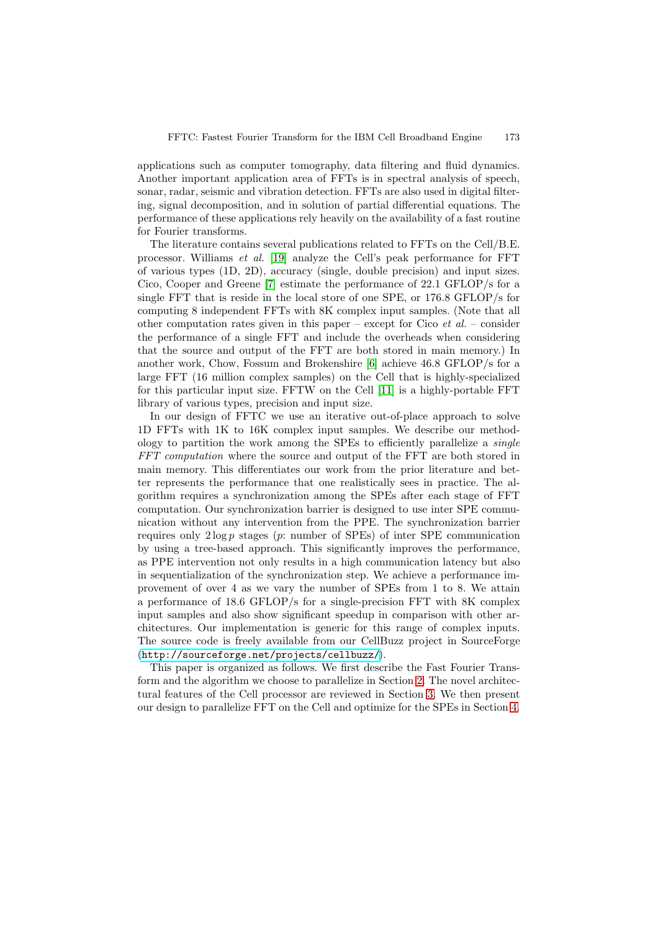applications such as computer tomography, data filtering and fluid dynamics. Another important application area of FFTs is in spectral analysis of speech, sonar, radar, seismic and vibration detection. FFTs are also used in digital filtering, signal decomposition, and in solution of partial differential equations. The performance of these applications rely heavily on the availability of a fast routine for Fourier transforms.

The literature contains several publications related to FFTs on the Cell/B.E. processor. Williams et al. [\[19\]](#page-12-5) analyze the Cell's peak performance for FFT of various types (1D, 2D), accuracy (single, double precision) and input sizes. Cico, Cooper and Greene [\[7\]](#page-12-6) estimate the performance of 22.1 GFLOP/s for a single FFT that is reside in the local store of one SPE, or 176.8 GFLOP/s for computing 8 independent FFTs with 8K complex input samples. (Note that all other computation rates given in this paper – except for Cico  $et$   $al.$  – consider the performance of a single FFT and include the overheads when considering that the source and output of the FFT are both stored in main memory.) In another work, Chow, Fossum and Brokenshire [\[6\]](#page-12-7) achieve 46.8 GFLOP/s for a large FFT (16 million complex samples) on the Cell that is highly-specialized for this particular input size. FFTW on the Cell [\[11\]](#page-12-8) is a highly-portable FFT library of various types, precision and input size.

In our design of FFTC we use an iterative out-of-place approach to solve 1D FFTs with 1K to 16K complex input samples. We describe our methodology to partition the work among the SPEs to efficiently parallelize a single FFT computation where the source and output of the FFT are both stored in main memory. This differentiates our work from the prior literature and better represents the performance that one realistically sees in practice. The algorithm requires a synchronization among the SPEs after each stage of FFT computation. Our synchronization barrier is designed to use inter SPE communication without any intervention from the PPE. The synchronization barrier requires only  $2 \log p$  stages (p: number of SPEs) of inter SPE communication by using a tree-based approach. This significantly improves the performance, as PPE intervention not only results in a high communication latency but also in sequentialization of the synchronization step. We achieve a performance improvement of over 4 as we vary the number of SPEs from 1 to 8. We attain a performance of 18.6 GFLOP/s for a single-precision FFT with 8K complex input samples and also show significant speedup in comparison with other architectures. Our implementation is generic for this range of complex inputs. The source code is freely available from our CellBuzz project in SourceForge (<http://sourceforge.net/projects/cellbuzz/>).

This paper is organized as follows. We first describe the Fast Fourier Transform and the algorithm we choose to parallelize in Section [2.](#page-2-0) The novel architectural features of the Cell processor are reviewed in Section [3.](#page-3-0) We then present our design to parallelize FFT on the Cell and optimize for the SPEs in Section [4.](#page-5-0)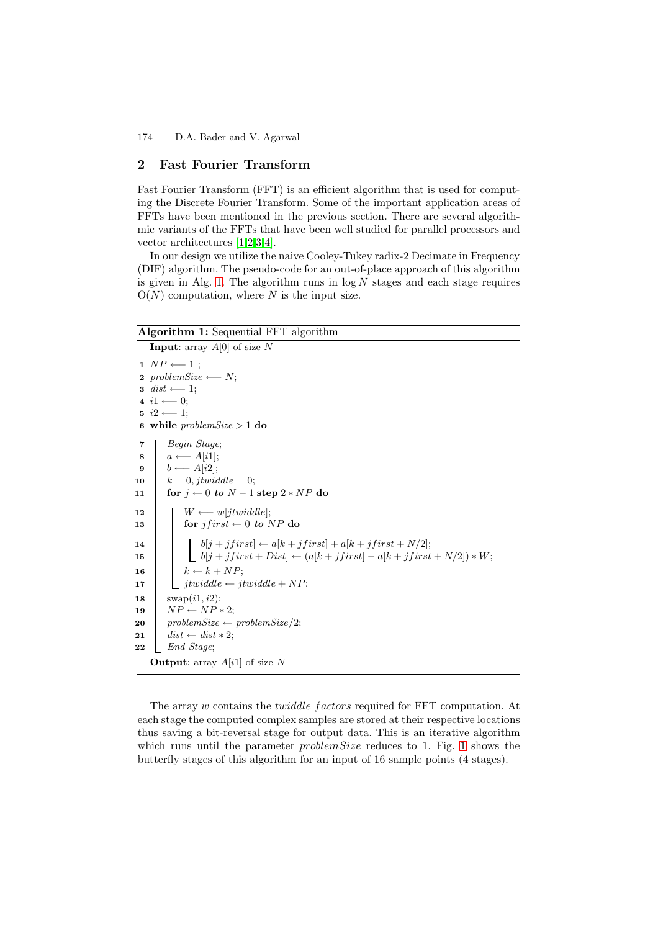# <span id="page-2-0"></span>**2 Fast Fourier Transform**

Fast Fourier Transform (FFT) is an efficient algorithm that is used for computing the Discrete Fourier Transform. Some of the important application areas of FFTs have been mentioned in the previous section. There are several algorithmic variants of the FFTs that have been well studied for parallel processors and vector architectures [\[1,](#page-12-9)[2](#page-12-10)[,3,](#page-12-11)[4\]](#page-12-12).

In our design we utilize the naive Cooley-Tukey radix-2 Decimate in Frequency (DIF) algorithm. The pseudo-code for an out-of-place approach of this algorithm is given in Alg. [1.](#page-2-1) The algorithm runs in  $log N$  stages and each stage requires  $O(N)$  computation, where N is the input size.

## **Algorithm 1:** Sequential FFT algorithm

**Input**: array A[0] of size N  $1 \; NP \longleftarrow 1$  ; *problemSize*  $\leftarrow N$ ; dist ←−1; **4**  $i1$  ← 0; **5**  $i2$  ← 1; **while** problemSize > 1 **do** Begin Stage;  $a \leftarrow A[i1]$ ;  $b \leftarrow A[i2];$   $k = 0$ , *jtwiddle* = 0; **for**  $j$  ← 0 **to**  $N - 1$  **step**  $2 * NP$  **do**  W ← w[jtwiddle]; **for**  $\int$  for  $\int$  *first*  $\leftarrow$  0 *to NP* do  $\begin{array}{|c|c|c|c|c|c|} \hline \end{array}$  b[j + jfirst]  $\leftarrow a[k + jfirst] + a[k + jfirst + N/2];$  b[j + jfirst + Dist]  $\leftarrow (a[k + jfirst] - a[k + jfirst + N/2]) * W;$ 16 |  $k \leftarrow k + NP;$   $\left| \begin{array}{c} \end{array} \right|$  *jtwiddle*  $\leftarrow$  *jtwiddle* + *NP*; swap $(i1, i2);$  $NP \leftarrow NP * 2;$  problemSize  $\leftarrow$  problemSize/2; dist  $\leftarrow$  dist  $*$  2; End Stage; **Output**: array  $A[i1]$  of size N

<span id="page-2-1"></span>The array w contains the *twiddle factors* required for FFT computation. At each stage the computed complex samples are stored at their respective locations thus saving a bit-reversal stage for output data. This is an iterative algorithm which runs until the parameter *problemSize* reduces to [1](#page-3-1). Fig. 1 shows the butterfly stages of this algorithm for an input of 16 sample points (4 stages).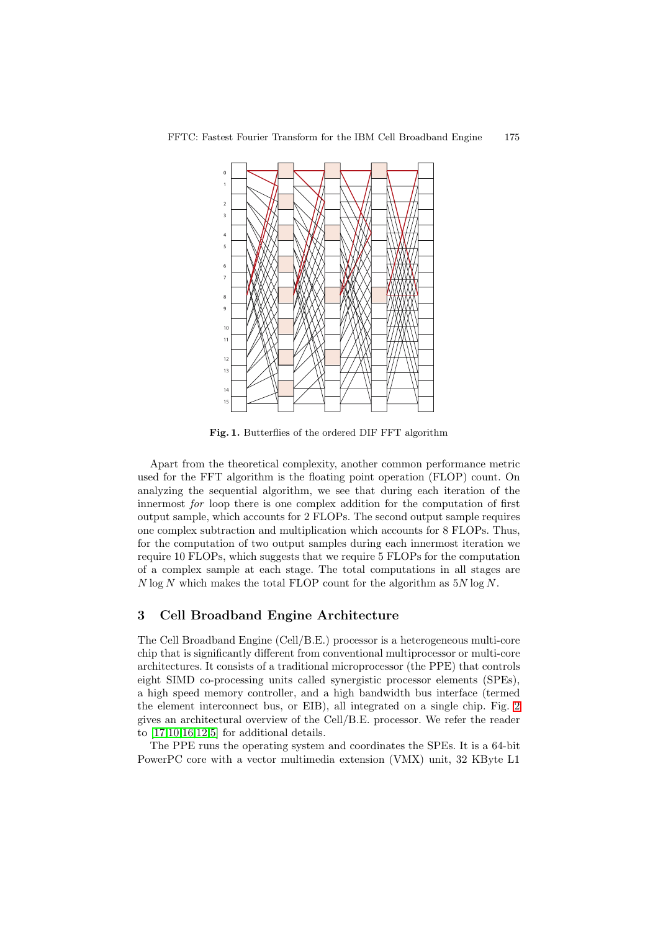

<span id="page-3-1"></span>**Fig. 1.** Butterflies of the ordered DIF FFT algorithm

Apart from the theoretical complexity, another common performance metric used for the FFT algorithm is the floating point operation (FLOP) count. On analyzing the sequential algorithm, we see that during each iteration of the innermost for loop there is one complex addition for the computation of first output sample, which accounts for 2 FLOPs. The second output sample requires one complex subtraction and multiplication which accounts for 8 FLOPs. Thus, for the computation of two output samples during each innermost iteration we require 10 FLOPs, which suggests that we require 5 FLOPs for the computation of a complex sample at each stage. The total computations in all stages are  $N \log N$  which makes the total FLOP count for the algorithm as  $5N \log N$ .

# <span id="page-3-0"></span>**3 Cell Broadband Engine Architecture**

The Cell Broadband Engine (Cell/B.E.) processor is a heterogeneous multi-core chip that is significantly different from conventional multiprocessor or multi-core architectures. It consists of a traditional microprocessor (the PPE) that controls eight SIMD co-processing units called synergistic processor elements (SPEs), a high speed memory controller, and a high bandwidth bus interface (termed the element interconnect bus, or EIB), all integrated on a single chip. Fig. [2](#page-4-0) gives an architectural overview of the Cell/B.E. processor. We refer the reader to [\[17](#page-12-13)[,10,](#page-12-14)[16](#page-12-15)[,12](#page-12-16)[,5\]](#page-12-17) for additional details.

The PPE runs the operating system and coordinates the SPEs. It is a 64-bit PowerPC core with a vector multimedia extension (VMX) unit, 32 KByte L1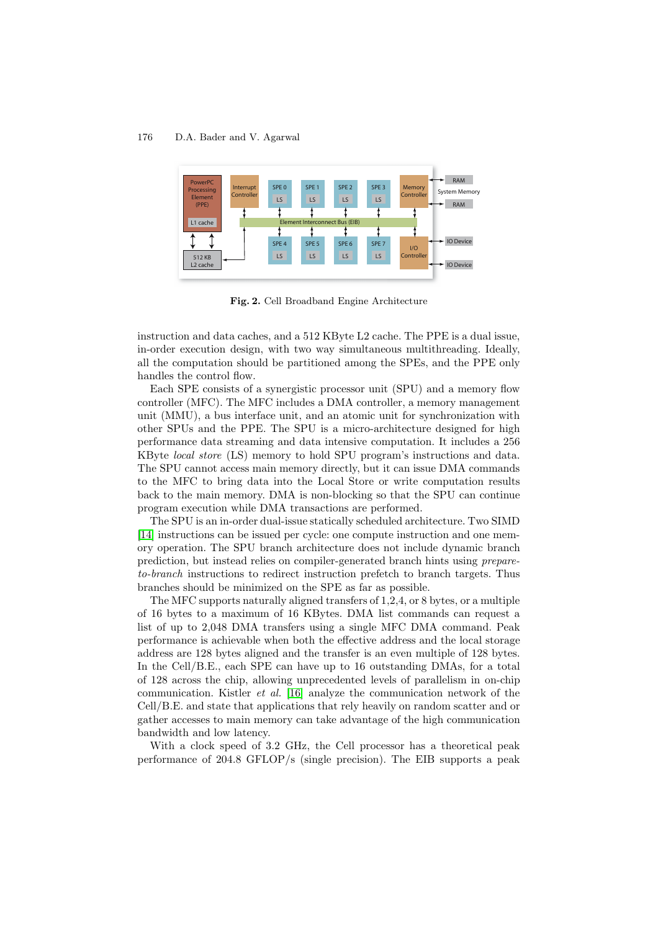

<span id="page-4-0"></span>**Fig. 2.** Cell Broadband Engine Architecture

instruction and data caches, and a 512 KByte L2 cache. The PPE is a dual issue, in-order execution design, with two way simultaneous multithreading. Ideally, all the computation should be partitioned among the SPEs, and the PPE only handles the control flow.

Each SPE consists of a synergistic processor unit (SPU) and a memory flow controller (MFC). The MFC includes a DMA controller, a memory management unit (MMU), a bus interface unit, and an atomic unit for synchronization with other SPUs and the PPE. The SPU is a micro-architecture designed for high performance data streaming and data intensive computation. It includes a 256 KByte local store (LS) memory to hold SPU program's instructions and data. The SPU cannot access main memory directly, but it can issue DMA commands to the MFC to bring data into the Local Store or write computation results back to the main memory. DMA is non-blocking so that the SPU can continue program execution while DMA transactions are performed.

The SPU is an in-order dual-issue statically scheduled architecture. Two SIMD [\[14\]](#page-12-18) instructions can be issued per cycle: one compute instruction and one memory operation. The SPU branch architecture does not include dynamic branch prediction, but instead relies on compiler-generated branch hints using prepareto-branch instructions to redirect instruction prefetch to branch targets. Thus branches should be minimized on the SPE as far as possible.

The MFC supports naturally aligned transfers of 1,2,4, or 8 bytes, or a multiple of 16 bytes to a maximum of 16 KBytes. DMA list commands can request a list of up to 2,048 DMA transfers using a single MFC DMA command. Peak performance is achievable when both the effective address and the local storage address are 128 bytes aligned and the transfer is an even multiple of 128 bytes. In the Cell/B.E., each SPE can have up to 16 outstanding DMAs, for a total of 128 across the chip, allowing unprecedented levels of parallelism in on-chip communication. Kistler et al. [\[16\]](#page-12-15) analyze the communication network of the Cell/B.E. and state that applications that rely heavily on random scatter and or gather accesses to main memory can take advantage of the high communication bandwidth and low latency.

With a clock speed of 3.2 GHz, the Cell processor has a theoretical peak performance of 204.8 GFLOP/s (single precision). The EIB supports a peak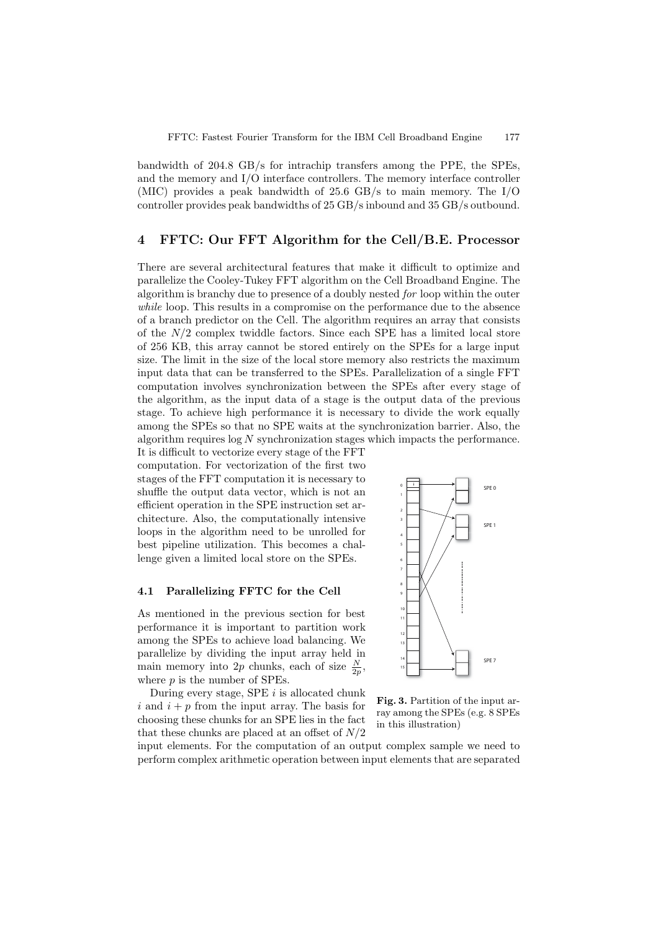bandwidth of 204.8 GB/s for intrachip transfers among the PPE, the SPEs, and the memory and I/O interface controllers. The memory interface controller (MIC) provides a peak bandwidth of 25.6 GB/s to main memory. The I/O controller provides peak bandwidths of 25 GB/s inbound and 35 GB/s outbound.

# <span id="page-5-0"></span>**4 FFTC: Our FFT Algorithm for the Cell/B.E. Processor**

There are several architectural features that make it difficult to optimize and parallelize the Cooley-Tukey FFT algorithm on the Cell Broadband Engine. The algorithm is branchy due to presence of a doubly nested for loop within the outer while loop. This results in a compromise on the performance due to the absence of a branch predictor on the Cell. The algorithm requires an array that consists of the  $N/2$  complex twiddle factors. Since each SPE has a limited local store of 256 KB, this array cannot be stored entirely on the SPEs for a large input size. The limit in the size of the local store memory also restricts the maximum input data that can be transferred to the SPEs. Parallelization of a single FFT computation involves synchronization between the SPEs after every stage of the algorithm, as the input data of a stage is the output data of the previous stage. To achieve high performance it is necessary to divide the work equally among the SPEs so that no SPE waits at the synchronization barrier. Also, the algorithm requires log N synchronization stages which impacts the performance.

It is difficult to vectorize every stage of the FFT computation. For vectorization of the first two stages of the FFT computation it is necessary to shuffle the output data vector, which is not an efficient operation in the SPE instruction set architecture. Also, the computationally intensive loops in the algorithm need to be unrolled for best pipeline utilization. This becomes a challenge given a limited local store on the SPEs.

#### **4.1 Parallelizing FFTC for the Cell**

As mentioned in the previous section for best performance it is important to partition work among the SPEs to achieve load balancing. We parallelize by dividing the input array held in main memory into 2p chunks, each of size  $\frac{N}{2p}$ , where  $p$  is the number of SPEs.

During every stage, SPE  $i$  is allocated chunk i and  $i + p$  from the input array. The basis for choosing these chunks for an SPE lies in the fact that these chunks are placed at an offset of  $N/2$ 



<span id="page-5-1"></span>**Fig. 3.** Partition of the input array among the SPEs (e.g. 8 SPEs in this illustration)

input elements. For the computation of an output complex sample we need to perform complex arithmetic operation between input elements that are separated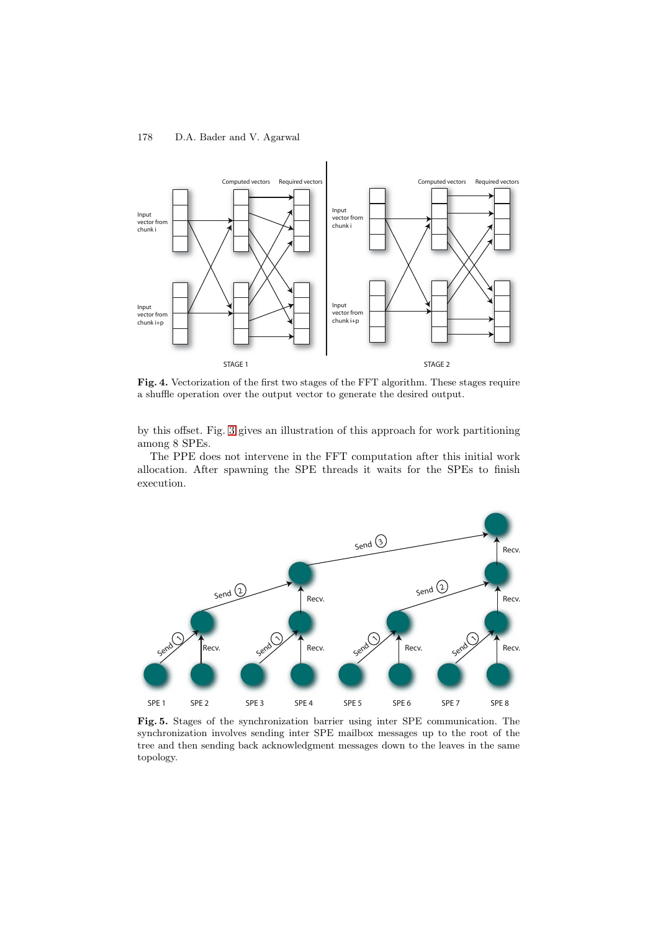

<span id="page-6-0"></span>Fig. 4. Vectorization of the first two stages of the FFT algorithm. These stages require a shuffle operation over the output vector to generate the desired output.

by this offset. Fig. [3](#page-5-1) gives an illustration of this approach for work partitioning among 8 SPEs.

The PPE does not intervene in the FFT computation after this initial work allocation. After spawning the SPE threads it waits for the SPEs to finish execution.



<span id="page-6-1"></span>**Fig. 5.** Stages of the synchronization barrier using inter SPE communication. The synchronization involves sending inter SPE mailbox messages up to the root of the tree and then sending back acknowledgment messages down to the leaves in the same topology.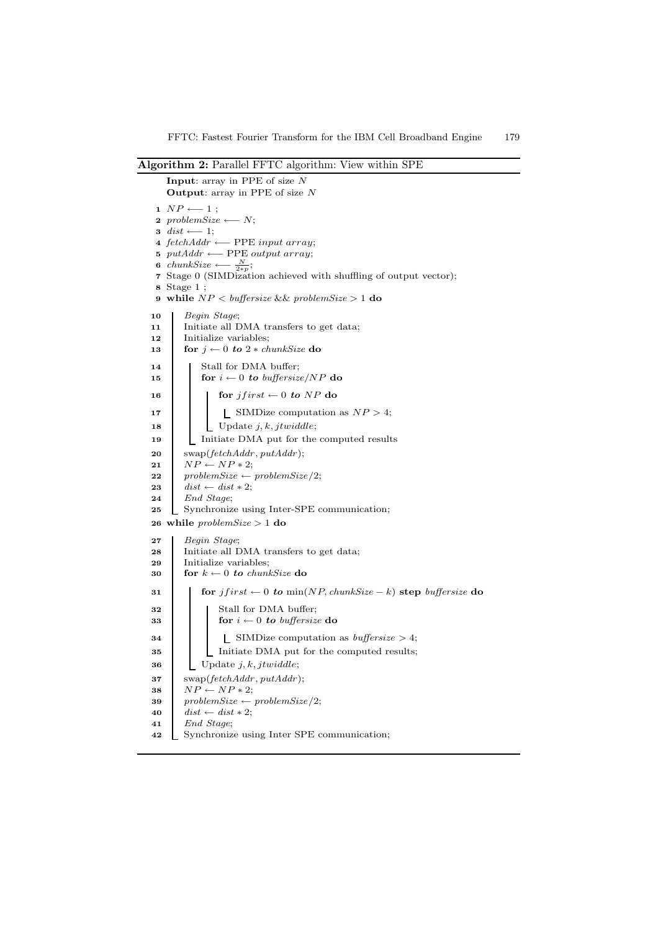| Algorithm 2: Parallel FFTC algorithm: View within SPE |  |  |  |  |  |
|-------------------------------------------------------|--|--|--|--|--|
|-------------------------------------------------------|--|--|--|--|--|

<span id="page-7-0"></span>**Input**: array in PPE of size N **Output**: array in PPE of size N  $1 \; NP \longleftarrow 1$ ; *problemSize*  $\leftarrow N$ ; dist  $\leftarrow$  1: fetchAddr ←− PPE input array; putAddr ←− PPE output array; chunkSize ←  $\frac{N}{2*p}$ ;<br>**7** Stage 0 (SIMDization achieved with shuffling of output vector); Stage 1 ; **while** NP < buffersize && problemSize > 1 **do** 10 | Begin Stage; 11 | Initiate all DMA transfers to get data; Initialize variables; **for**  $j \leftarrow 0$  **to**  $2 *$  chunkSize **do** 14 | Stall for DMA buffer; **for**  $i \leftarrow 0$  **to** buffersize/NP **do for**  $\int$  **for**  $\int$  *f* if  $\int$  *for*  $\int$  *for*  $\int$  *for*  $\int$  *for*  $\int$  *for*  $\int$  *for*  $\int$  *for*  $\int$  *for*  $\int$  *for*  $\int$  *for*  $\int$  *for*  $\int$  *for*  $\int$  *for*  $\int$  *for*  $\int$  *for*  $\int$  *for*  $\int$  *for* SIMDize computation as  $NP > 4$ ; Update  $j, k, jtwiddle;$ 19 | Initiate DMA put for the computed results 20 swap( $fetchAddr$ ,  $putAddr$ );  $NP \leftarrow NP * 2;$  problemSize  $\leftarrow$  problemSize/2; dist  $\leftarrow dist * 2;$  End Stage; 25 Synchronize using Inter-SPE communication; **while** problemSize > 1 **do** 27 | *Begin Stage*; 28 Initiate all DMA transfers to get data; Initialize variables; **for**  $k \leftarrow 0$  **to** chunkSize **do for**  $j$  first  $\leftarrow 0$  **to** min(NP, chunkSize  $-k$ ) **step** buffersize **do**  Stall for DMA buffer: **for**  $i \leftarrow 0$  **to** buffersize **do**   $\vert$   $\vert$  **L** SIMDize computation as *buffersize* > 4; Initiate DMA put for the computed results; Update j, k, jtwiddle; swap(*fetchAddr*, *putAddr*);  $NP \leftarrow NP * 2;$  problemSize  $\leftarrow$  problemSize/2; dist  $\leftarrow$  dist  $*$  2; End Stage; Synchronize using Inter SPE communication;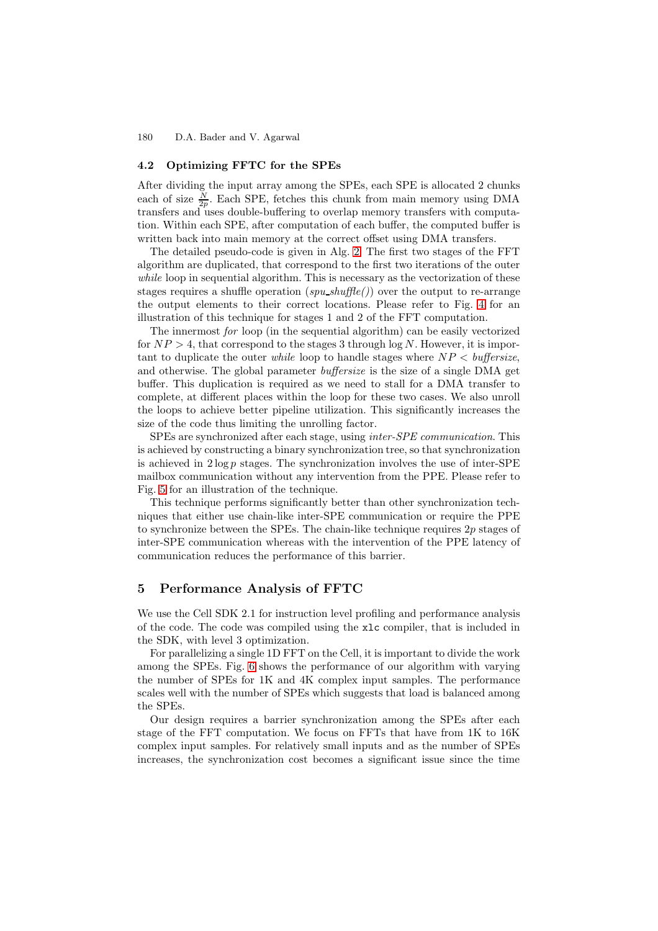### **4.2 Optimizing FFTC for the SPEs**

After dividing the input array among the SPEs, each SPE is allocated 2 chunks each of size  $\frac{N}{2p}$ . Each SPE, fetches this chunk from main memory using DMA transfers and uses double-buffering to overlap memory transfers with computation. Within each SPE, after computation of each buffer, the computed buffer is written back into main memory at the correct offset using DMA transfers.

The detailed pseudo-code is given in Alg. [2.](#page-7-0) The first two stages of the FFT algorithm are duplicated, that correspond to the first two iterations of the outer while loop in sequential algorithm. This is necessary as the vectorization of these stages requires a shuffle operation  $(spu\_shuffle())$  over the output to re-arrange the output elements to their correct locations. Please refer to Fig. [4](#page-6-0) for an illustration of this technique for stages 1 and 2 of the FFT computation.

The innermost for loop (in the sequential algorithm) can be easily vectorized for  $NP > 4$ , that correspond to the stages 3 through  $log N$ . However, it is important to duplicate the outer while loop to handle stages where  $NP <$  buffersize, and otherwise. The global parameter buffersize is the size of a single DMA get buffer. This duplication is required as we need to stall for a DMA transfer to complete, at different places within the loop for these two cases. We also unroll the loops to achieve better pipeline utilization. This significantly increases the size of the code thus limiting the unrolling factor.

SPEs are synchronized after each stage, using inter-SPE communication. This is achieved by constructing a binary synchronization tree, so that synchronization is achieved in  $2 \log p$  stages. The synchronization involves the use of inter-SPE mailbox communication without any intervention from the PPE. Please refer to Fig. [5](#page-6-1) for an illustration of the technique.

This technique performs significantly better than other synchronization techniques that either use chain-like inter-SPE communication or require the PPE to synchronize between the SPEs. The chain-like technique requires  $2p$  stages of inter-SPE communication whereas with the intervention of the PPE latency of communication reduces the performance of this barrier.

### **5 Performance Analysis of FFTC**

We use the Cell SDK 2.1 for instruction level profiling and performance analysis of the code. The code was compiled using the xlc compiler, that is included in the SDK, with level 3 optimization.

For parallelizing a single 1D FFT on the Cell, it is important to divide the work among the SPEs. Fig. [6](#page-9-0) shows the performance of our algorithm with varying the number of SPEs for 1K and 4K complex input samples. The performance scales well with the number of SPEs which suggests that load is balanced among the SPEs.

Our design requires a barrier synchronization among the SPEs after each stage of the FFT computation. We focus on FFTs that have from 1K to 16K complex input samples. For relatively small inputs and as the number of SPEs increases, the synchronization cost becomes a significant issue since the time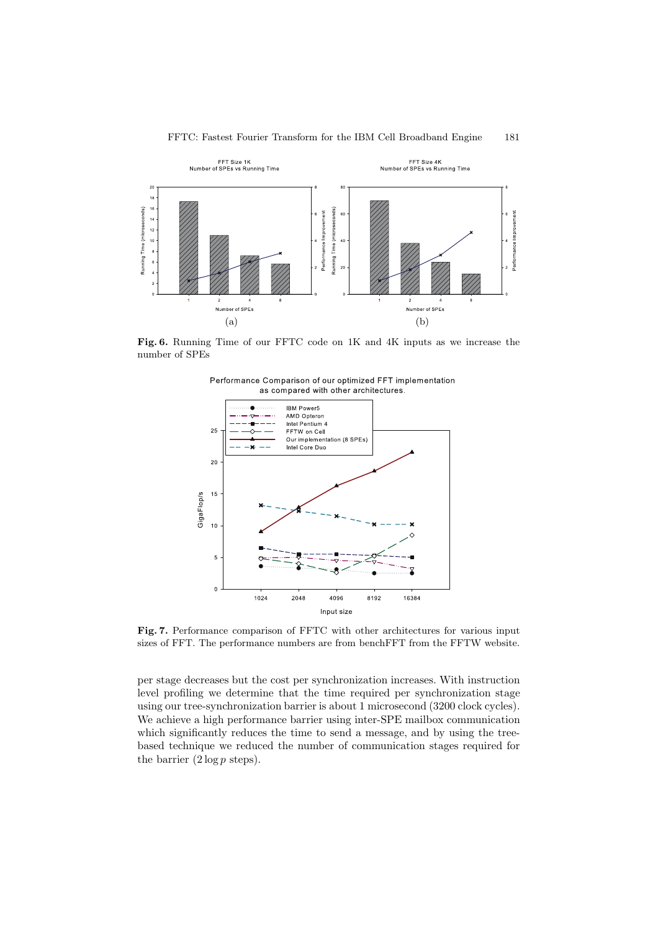

#### FFTC: Fastest Fourier Transform for the IBM Cell Broadband Engine 181

<span id="page-9-0"></span>**Fig. 6.** Running Time of our FFTC code on 1K and 4K inputs as we increase the number of SPEs



Performance Comparison of our optimized FFT implementation

<span id="page-9-1"></span>**Fig. 7.** Performance comparison of FFTC with other architectures for various input sizes of FFT. The performance numbers are from benchFFT from the FFTW website.

per stage decreases but the cost per synchronization increases. With instruction level profiling we determine that the time required per synchronization stage using our tree-synchronization barrier is about 1 microsecond (3200 clock cycles). We achieve a high performance barrier using inter-SPE mailbox communication which significantly reduces the time to send a message, and by using the treebased technique we reduced the number of communication stages required for the barrier  $(2 \log p \text{ steps}).$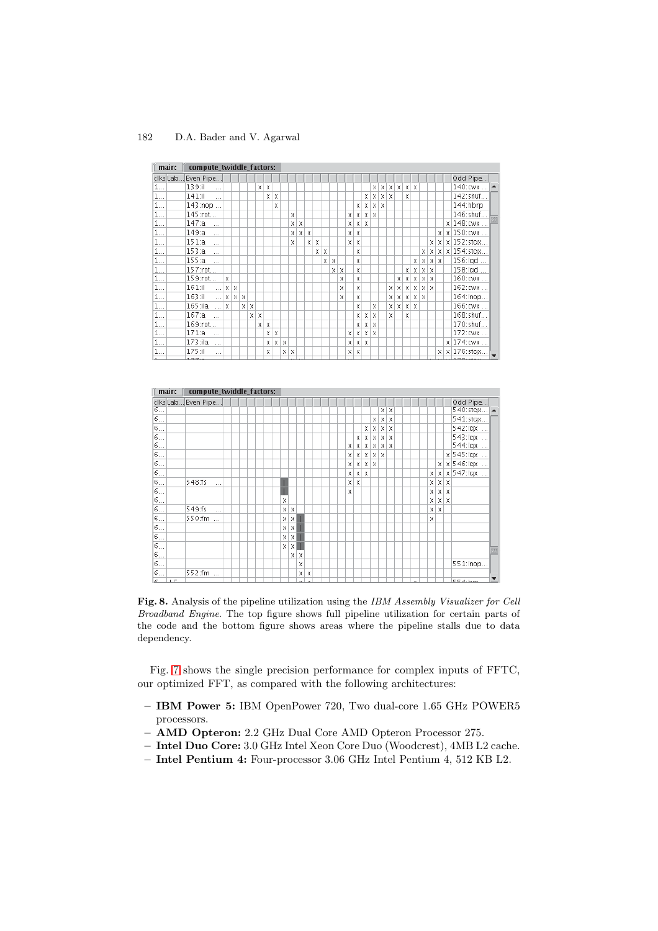|   | main:     | compute_twiddle_factors: |   |          |   |   |   |   |   |             |   |   |   |   |   |   |   |   |   |   |    |   |   |   |          |   |   |   |    |                |
|---|-----------|--------------------------|---|----------|---|---|---|---|---|-------------|---|---|---|---|---|---|---|---|---|---|----|---|---|---|----------|---|---|---|----|----------------|
|   | clks Lab. | Even Pipe                |   |          |   |   |   |   |   |             |   |   |   |   |   |   |   |   |   |   |    |   |   |   |          |   |   |   |    | Odd Pipe       |
| 1 |           | 139:il<br>$\cdots$       |   |          |   |   | X | χ |   |             |   |   |   |   |   |   |   |   |   |   | Χ  | χ | X | X | X        | X |   |   |    | 140: cwx    ▲  |
| 1 |           | $141:$ il<br>$\cdots$    |   |          |   |   |   | x | X |             |   |   |   |   |   |   |   |   |   | X | Х  | χ | x |   | X        |   |   |   |    | 142:shuf       |
| 1 |           | 143:nop                  |   |          |   |   |   |   | X |             |   |   |   |   |   |   |   |   | х | X | хI | х |   |   |          |   |   |   |    | 144:hbrp       |
| 1 |           | 145:rot                  |   |          |   |   |   |   |   |             | X |   |   |   |   |   |   | X | χ | X | X  |   |   |   |          |   |   |   |    | 146:shuf       |
| 1 |           | 147:a<br>$\cdots$        |   |          |   |   |   |   |   |             | χ | X |   |   |   |   |   | x | X | X |    |   |   |   |          |   |   |   |    | $x$   148: CWX |
| 1 |           | 149:a<br>$\cdots$        |   |          |   |   |   |   |   |             | χ | χ | X |   |   |   |   | χ | χ |   |    |   |   |   |          |   |   |   | x  | $x$   150; CWX |
| 1 |           | 151:a<br>$\cdots$        |   |          |   |   |   |   |   |             | χ |   | X | X |   |   |   | x | x |   |    |   |   |   |          |   |   | X | x  | $x$ 152:stgx   |
| 1 |           | 153: a<br>$\sim$         |   |          |   |   |   |   |   |             |   |   |   | X | X |   |   |   | Χ |   |    |   |   |   |          |   | X | X | x  | $x$ 154:stqx   |
| 1 |           | 155: a                   |   |          |   |   |   |   |   |             |   |   |   |   | X | X |   |   | X |   |    |   |   |   |          | X | X | X | x  | 156:lgd        |
| 1 |           | 157:rot                  |   |          |   |   |   |   |   |             |   |   |   |   |   | χ | Χ |   | χ |   |    |   |   |   | Χ        | χ | χ | Χ |    | 158:lgd        |
| 1 |           | 159:rot                  | x |          |   |   |   |   |   |             |   |   |   |   |   |   | X |   | X |   |    |   |   | Χ | Χ        | χ | χ | X |    | 160:cwx        |
| 1 |           | $161:$ il<br>$\cdots$    | Х | Х        |   |   |   |   |   |             |   |   |   |   |   |   | X |   | X |   |    |   | Х | χ | X        | χ | X | x |    | 162: CWX       |
| 1 |           | 163:1<br>                | Х | $\times$ | X |   |   |   |   |             |   |   |   |   |   |   | X |   | X |   |    |   | Χ | Х | X        | x | X |   |    | 164:Inop       |
| 1 |           | 165:ila<br>$\dots$   X   |   |          | Х | X |   |   |   |             |   |   |   |   |   |   |   |   | Χ |   | X  |   | Χ | X | $\times$ | X |   |   |    | 166: CWX       |
| 1 |           | 167: a<br>$\cdots$       |   |          |   | X | X |   |   |             |   |   |   |   |   |   |   |   | X | Х | X  |   | X |   | X        |   |   |   |    | 168:shuf       |
| 1 |           | 169:rot                  |   |          |   |   | X | χ |   |             |   |   |   |   |   |   |   |   | X | X | Х  |   |   |   |          |   |   |   |    | 170:shuf       |
| 1 |           | 171:a<br>$\cdots$        |   |          |   |   |   | χ | X |             |   |   |   |   |   |   |   | Χ | χ | χ | Х  |   |   |   |          |   |   |   |    | 172: CWX       |
| 1 |           | 173:ila<br>$\cdots$      |   |          |   |   |   | х | X | $\mathbf x$ |   |   |   |   |   |   |   | X | χ | X |    |   |   |   |          |   |   |   |    | $x$   174: CWX |
| 1 |           | $175:$ il<br>$\cdots$    |   |          |   |   |   | χ |   | χ           | X |   |   |   |   |   |   | χ | χ |   |    |   |   |   |          |   |   |   | X. | $x 176:$ stqx  |
|   |           |                          |   |          |   |   |   |   |   |             |   |   |   |   |   |   |   |   |   |   |    |   |   |   |          |   |   |   |    |                |

|                | main:  | compute_twiddle_factors: |   |        |               |  |  |   |                           |             |        |   |   |  |       |   |   |   |                                                  |
|----------------|--------|--------------------------|---|--------|---------------|--|--|---|---------------------------|-------------|--------|---|---|--|-------|---|---|---|--------------------------------------------------|
|                |        | ciks Lab Even Pipe       |   |        |               |  |  |   |                           |             |        |   |   |  |       |   |   |   | Odd Pipe                                         |
| <u>চি</u>      |        |                          |   |        |               |  |  |   |                           |             |        | X | X |  |       |   |   |   | $540:$ stqx                                      |
| 6.             |        |                          |   |        |               |  |  |   |                           |             | χ      | χ | Х |  |       |   |   |   | 541:stqx                                         |
| $\overline{6}$ |        |                          |   |        |               |  |  |   |                           | Х           | χ      | χ | Х |  |       |   |   |   | $542:$ lqx                                       |
| $\overline{6}$ |        |                          |   |        |               |  |  |   | Х                         | X           | Χ      | χ | X |  |       |   |   |   | 543:lqx                                          |
| 6.             |        |                          |   |        |               |  |  | χ | Χ                         | Х           | X      | χ | Х |  |       |   |   |   | 544:lqx                                          |
| 6.             |        |                          |   |        |               |  |  | X | X                         | X           | Х      | Х |   |  |       |   |   |   | $x$ 545: $qx$                                    |
| 6.             |        |                          |   |        |               |  |  | X | X                         | X           | $\chi$ |   |   |  |       |   | x |   | $x$ 546: $qx$                                    |
| 6              |        |                          |   |        |               |  |  | X | Х                         | $\mathbf x$ |        |   |   |  |       | X | x |   | $x$ 547:lqx                                      |
| 6.             |        | 548:fs<br>$\cdots$       |   |        |               |  |  | X | $\boldsymbol{\mathsf{x}}$ |             |        |   |   |  |       | X | X | Х |                                                  |
| 6.             |        |                          |   |        |               |  |  | X |                           |             |        |   |   |  |       | Χ | X | Х |                                                  |
| 6.             |        |                          | χ |        |               |  |  |   |                           |             |        |   |   |  |       | Χ | χ | χ |                                                  |
| 6.             |        | 549:fs<br>$\sim$         | X | X      |               |  |  |   |                           |             |        |   |   |  |       | X | X |   |                                                  |
| $\overline{6}$ |        | 550:fm                   | X | X      |               |  |  |   |                           |             |        |   |   |  |       | X |   |   |                                                  |
| 6.             |        |                          | X | χ      |               |  |  |   |                           |             |        |   |   |  |       |   |   |   |                                                  |
| 6.             |        |                          | Χ | χ      |               |  |  |   |                           |             |        |   |   |  |       |   |   |   |                                                  |
| $\overline{6}$ |        |                          | x | X      |               |  |  |   |                           |             |        |   |   |  |       |   |   |   |                                                  |
| 6.             |        |                          |   | Χ<br>Χ |               |  |  |   |                           |             |        |   |   |  |       |   |   |   |                                                  |
| 6.             |        |                          |   | χ      |               |  |  |   |                           |             |        |   |   |  |       |   |   |   | 551:Inop                                         |
| 6.             |        | 552:fm                   |   | x      | Х             |  |  |   |                           |             |        |   |   |  |       |   |   |   |                                                  |
| le.            | $\sim$ |                          |   |        | $\sim$ $\sim$ |  |  |   |                           |             |        |   |   |  | And I |   |   |   | $\blacktriangledown$<br>$E E A + h_{\text{max}}$ |

<span id="page-10-0"></span>**Fig. 8.** Analysis of the pipeline utilization using the IBM Assembly Visualizer for Cell Broadband Engine. The top figure shows full pipeline utilization for certain parts of the code and the bottom figure shows areas where the pipeline stalls due to data dependency.

Fig. [7](#page-9-1) shows the single precision performance for complex inputs of FFTC, our optimized FFT, as compared with the following architectures:

- **IBM Power 5:** IBM OpenPower 720, Two dual-core 1.65 GHz POWER5 processors.
- **AMD Opteron:** 2.2 GHz Dual Core AMD Opteron Processor 275.
- **Intel Duo Core:** 3.0 GHz Intel Xeon Core Duo (Woodcrest), 4MB L2 cache.
- **Intel Pentium 4:** Four-processor 3.06 GHz Intel Pentium 4, 512 KB L2.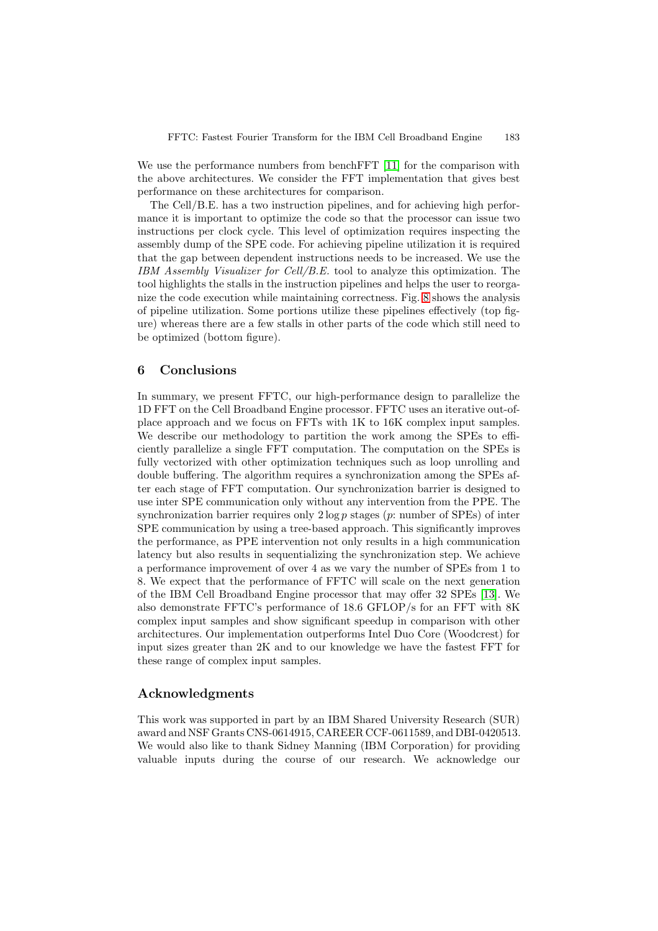We use the performance numbers from benchFFT [\[11\]](#page-12-8) for the comparison with the above architectures. We consider the FFT implementation that gives best performance on these architectures for comparison.

The Cell/B.E. has a two instruction pipelines, and for achieving high performance it is important to optimize the code so that the processor can issue two instructions per clock cycle. This level of optimization requires inspecting the assembly dump of the SPE code. For achieving pipeline utilization it is required that the gap between dependent instructions needs to be increased. We use the IBM Assembly Visualizer for Cell/B.E. tool to analyze this optimization. The tool highlights the stalls in the instruction pipelines and helps the user to reorganize the code execution while maintaining correctness. Fig. [8](#page-10-0) shows the analysis of pipeline utilization. Some portions utilize these pipelines effectively (top figure) whereas there are a few stalls in other parts of the code which still need to be optimized (bottom figure).

## **6 Conclusions**

In summary, we present FFTC, our high-performance design to parallelize the 1D FFT on the Cell Broadband Engine processor. FFTC uses an iterative out-ofplace approach and we focus on FFTs with 1K to 16K complex input samples. We describe our methodology to partition the work among the SPEs to efficiently parallelize a single FFT computation. The computation on the SPEs is fully vectorized with other optimization techniques such as loop unrolling and double buffering. The algorithm requires a synchronization among the SPEs after each stage of FFT computation. Our synchronization barrier is designed to use inter SPE communication only without any intervention from the PPE. The synchronization barrier requires only  $2 \log p$  stages (p: number of SPEs) of inter SPE communication by using a tree-based approach. This significantly improves the performance, as PPE intervention not only results in a high communication latency but also results in sequentializing the synchronization step. We achieve a performance improvement of over 4 as we vary the number of SPEs from 1 to 8. We expect that the performance of FFTC will scale on the next generation of the IBM Cell Broadband Engine processor that may offer 32 SPEs [\[13\]](#page-12-19). We also demonstrate FFTC's performance of 18.6 GFLOP/s for an FFT with 8K complex input samples and show significant speedup in comparison with other architectures. Our implementation outperforms Intel Duo Core (Woodcrest) for input sizes greater than 2K and to our knowledge we have the fastest FFT for these range of complex input samples.

## **Acknowledgments**

This work was supported in part by an IBM Shared University Research (SUR) award and NSFGrants CNS-0614915, CAREER CCF-0611589, and DBI-0420513. We would also like to thank Sidney Manning (IBM Corporation) for providing valuable inputs during the course of our research. We acknowledge our